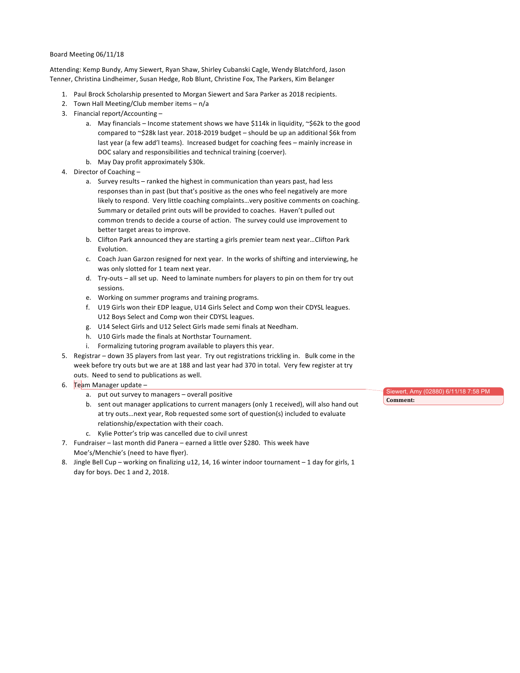## Board Meeting 06/11/18

Attending: Kemp Bundy, Amy Siewert, Ryan Shaw, Shirley Cubanski Cagle, Wendy Blatchford, Jason Tenner, Christina Lindheimer, Susan Hedge, Rob Blunt, Christine Fox, The Parkers, Kim Belanger

- 1. Paul Brock Scholarship presented to Morgan Siewert and Sara Parker as 2018 recipients.
- 2. Town Hall Meeting/Club member items  $n/a$
- 3. Financial report/Accounting
	- a. May financials Income statement shows we have \$114k in liquidity,  $\sim$ \$62k to the good compared to  $\sim$ \$28k last year. 2018-2019 budget  $-$  should be up an additional \$6k from last year (a few add'l teams). Increased budget for coaching fees – mainly increase in DOC salary and responsibilities and technical training (coerver).
	- b. May Day profit approximately \$30k.
- 4. Director of Coaching
	- a. Survey results ranked the highest in communication than years past, had less responses than in past (but that's positive as the ones who feel negatively are more likely to respond. Very little coaching complaints...very positive comments on coaching. Summary or detailed print outs will be provided to coaches. Haven't pulled out common trends to decide a course of action. The survey could use improvement to better target areas to improve.
	- b. Clifton Park announced they are starting a girls premier team next year...Clifton Park Evolution.
	- c. Coach Juan Garzon resigned for next year. In the works of shifting and interviewing, he was only slotted for 1 team next year.
	- d. Try-outs all set up. Need to laminate numbers for players to pin on them for try out sessions.
	- e. Working on summer programs and training programs.
	- f. U19 Girls won their EDP league, U14 Girls Select and Comp won their CDYSL leagues. U12 Boys Select and Comp won their CDYSL leagues.
	- g. U14 Select Girls and U12 Select Girls made semi finals at Needham.
	- h. U10 Girls made the finals at Northstar Tournament.
	- i. Formalizing tutoring program available to players this year.
- 5. Registrar down 35 players from last year. Try out registrations trickling in. Bulk come in the week before try outs but we are at 188 and last year had 370 in total. Very few register at try outs. Need to send to publications as well.
- 6. Team Manager update  $$ 
	- a. put out survey to managers overall positive
	- b. sent out manager applications to current managers (only 1 received), will also hand out at try outs...next year, Rob requested some sort of question(s) included to evaluate relationship/expectation with their coach.
	- c. Kylie Potter's trip was cancelled due to civil unrest
- 7. Fundraiser last month did Panera earned a little over \$280. This week have Moe's/Menchie's (need to have flyer).
- 8. Jingle Bell Cup working on finalizing u12, 14, 16 winter indoor tournament 1 day for girls, 1 day for boys. Dec 1 and 2, 2018.

wert, Amy (02880) 6/11/18 7 Comment: